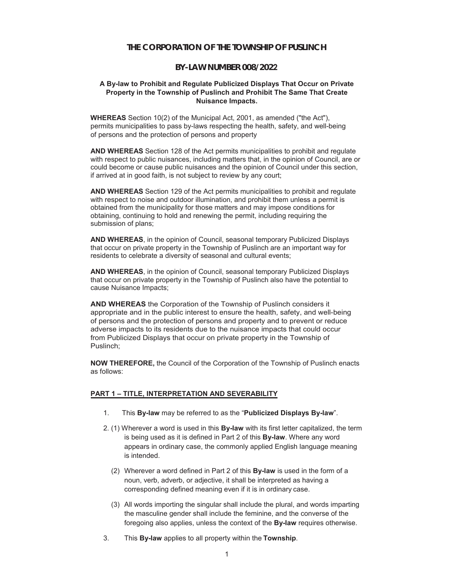### **THE CORPORATION OF THE TOWNSHIP OF PUSLINCH**

## **BY-LAW NUMBER 008/2022**

#### **A By-law to Prohibit and Regulate Publicized Displays That Occur on Private Property in the Township of Puslinch and Prohibit The Same That Create Nuisance Impacts.**

**WHEREAS** Section 10(2) of the Municipal Act, 2001, as amended ("the Act"), permits municipalities to pass by-laws respecting the health, safety, and well-being of persons and the protection of persons and property

**AND WHEREAS** Section 128 of the Act permits municipalities to prohibit and regulate with respect to public nuisances, including matters that, in the opinion of Council, are or could become or cause public nuisances and the opinion of Council under this section, if arrived at in good faith, is not subject to review by any court;

**AND WHEREAS** Section 129 of the Act permits municipalities to prohibit and regulate with respect to noise and outdoor illumination, and prohibit them unless a permit is obtained from the municipality for those matters and may impose conditions for obtaining, continuing to hold and renewing the permit, including requiring the submission of plans;

**AND WHEREAS**, in the opinion of Council, seasonal temporary Publicized Displays that occur on private property in the Township of Puslinch are an important way for residents to celebrate a diversity of seasonal and cultural events;

**AND WHEREAS**, in the opinion of Council, seasonal temporary Publicized Displays that occur on private property in the Township of Puslinch also have the potential to cause Nuisance Impacts;

**AND WHEREAS** the Corporation of the Township of Puslinch considers it appropriate and in the public interest to ensure the health, safety, and well-being of persons and the protection of persons and property and to prevent or reduce adverse impacts to its residents due to the nuisance impacts that could occur from Publicized Displays that occur on private property in the Township of Puslinch;

**NOW THEREFORE,** the Council of the Corporation of the Township of Puslinch enacts as follows:

#### **PART 1 – TITLE, INTERPRETATION AND SEVERABILITY**

- 1. This **By-law** may be referred to as the "**Publicized Displays By-law**".
- 2. (1) Wherever a word is used in this **By-law** with its first letter capitalized, the term is being used as it is defined in Part 2 of this **By-law**. Where any word appears in ordinary case, the commonly applied English language meaning is intended.
	- (2) Wherever a word defined in Part 2 of this **By-law** is used in the form of a noun, verb, adverb, or adjective, it shall be interpreted as having a corresponding defined meaning even if it is in ordinary case.
	- (3) All words importing the singular shall include the plural, and words imparting the masculine gender shall include the feminine, and the converse of the foregoing also applies, unless the context of the **By-law** requires otherwise.
- 3. This **By-law** applies to all property within the **Township**.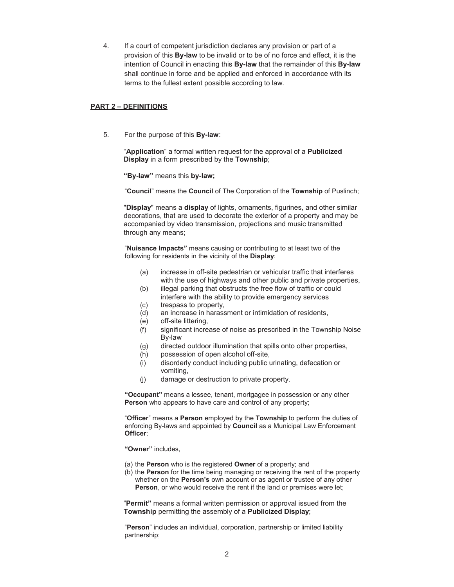4. If a court of competent jurisdiction declares any provision or part of a provision of this **By-law** to be invalid or to be of no force and effect, it is the intention of Council in enacting this **By-law** that the remainder of this **By-law** shall continue in force and be applied and enforced in accordance with its terms to the fullest extent possible according to law.

### **PART 2 – DEFINITIONS**

5. For the purpose of this **By-law**:

"**Application**" a formal written request for the approval of a **Publicized Display** in a form prescribed by the **Township**;

**"By-law"** means this **by-law;**

"**Council**" means the **Council** of The Corporation of the **Township** of Puslinch;

"**Display**" means a **display** of lights, ornaments, figurines, and other similar decorations, that are used to decorate the exterior of a property and may be accompanied by video transmission, projections and music transmitted through any means;

"**Nuisance Impacts"** means causing or contributing to at least two of the following for residents in the vicinity of the **Display**:

- (a) increase in off-site pedestrian or vehicular traffic that interferes with the use of highways and other public and private properties,
- (b) illegal parking that obstructs the free flow of traffic or could interfere with the ability to provide emergency services
- (c) trespass to property,
- (d) an increase in harassment or intimidation of residents,
- (e) off-site littering,
- (f) significant increase of noise as prescribed in the Township Noise By-law
- (g) directed outdoor illumination that spills onto other properties,
- (h) possession of open alcohol off-site,
- (i) disorderly conduct including public urinating, defecation or vomiting,
- (j) damage or destruction to private property.

**"Occupant"** means a lessee, tenant, mortgagee in possession or any other **Person** who appears to have care and control of any property;

"**Officer**" means a **Person** employed by the **Township** to perform the duties of enforcing By-laws and appointed by **Council** as a Municipal Law Enforcement **Officer**;

**"Owner"** includes,

- (a) the **Person** who is the registered **Owner** of a property; and
- (b) the **Person** for the time being managing or receiving the rent of the property whether on the **Person's** own account or as agent or trustee of any other **Person**, or who would receive the rent if the land or premises were let;

"**Permit"** means a formal written permission or approval issued from the **Township** permitting the assembly of a **Publicized Display**;

"**Person**" includes an individual, corporation, partnership or limited liability partnership;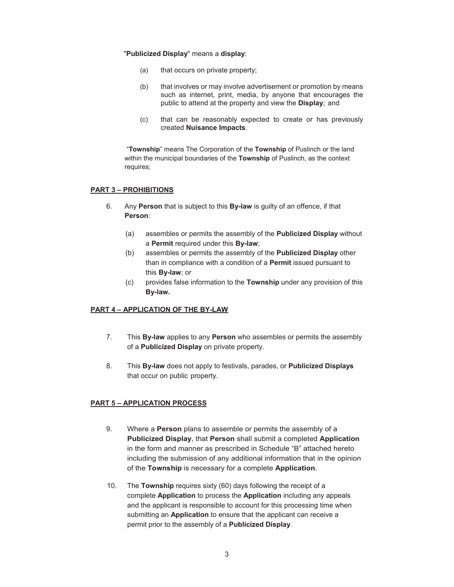### "**Publicized Display**" means a **display**:

- (a) that occurs on private property;
- (b) that involves or may involve advertisement or promotion by means such as internet, print, media, by anyone that encourages the public to attend at the property and view the **Display**; and
- (c) that can be reasonably expected to create or has previously created **Nuisance Impacts**.

"**Township**" means The Corporation of the **Township** of Puslinch or the land within the municipal boundaries of the **Township** of Puslinch, as the context requires;

# **PART 3 – PROHIBITIONS**

- 6. Any **Person** that is subject to this **By-law** is guilty of an offence, if that **Person**:
	- (a) assembles or permits the assembly of the **Publicized Display** without a **Permit** required under this **By-law**;
	- (b) assembles or permits the assembly of the **Publicized Display** other than in compliance with a condition of a **Permit** issued pursuant to this **By-law**; or
	- (c) provides false information to the **Township** under any provision of this **By-law.**

# **PART 4 – APPLICATION OF THE BY-LAW**

- 7. This **By-law** applies to any **Person** who assembles or permits the assembly of a **Publicized Display** on private property.
- 8. This **By-law** does not apply to festivals, parades, or **Publicized Displays** that occur on public property.

### **PART 5 – APPLICATION PROCESS**

- 9. Where a **Person** plans to assemble or permits the assembly of a **Publicized Display**, that **Person** shall submit a completed **Application** in the form and manner as prescribed in Schedule "B" attached hereto including the submission of any additional information that in the opinion of the **Township** is necessary for a complete **Application**.
- 10. The **Township** requires sixty (60) days following the receipt of a complete **Application** to process the **Application** including any appeals and the applicant is responsible to account for this processing time when submitting an **Application** to ensure that the applicant can receive a permit prior to the assembly of a **Publicized Display**.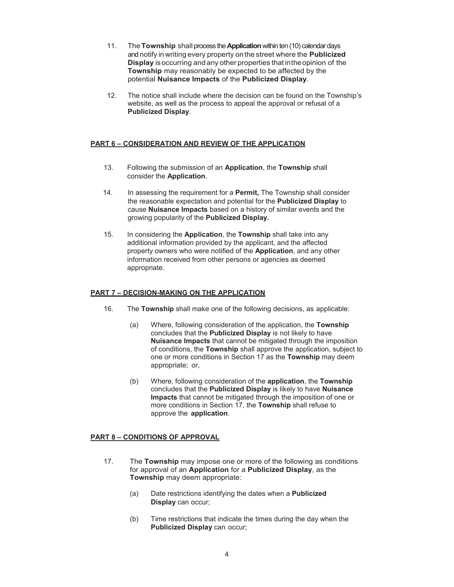- 11. The**Township** shallprocess the**Application** within ten (10) calendar days and notify inwriting every property onthe street where the **Publicized Display** isoccurring and any other properties that intheopinion of the **Township** may reasonably be expected to be affected by the potential **Nuisance Impacts** of the **Publicized Display**.
- 12. The notice shall include where the decision can be found on the Township's website, as well as the process to appeal the approval or refusal of a **Publicized Display**.

## **PART 6 – CONSIDERATION AND REVIEW OF THE APPLICATION**

- 13. Following the submission of an **Application**, the **Township** shall consider the **Application**.
- 14. In assessing the requirement for a **Permit,** The Township shall consider the reasonable expectation and potential for the **Publicized Display** to cause **Nuisance Impacts** based on a history of similar events and the growing popularity of the **Publicized Display.**
- 15. In considering the **Application**, the **Township** shall take into any additional information provided by the applicant, and the affected property owners who were notified of the **Application**, and any other information received from other persons or agencies as deemed appropriate.

### **PART 7 – DECISION-MAKING ON THE APPLICATION**

- 16. The **Township** shall make one of the following decisions, as applicable:
	- (a) Where, following consideration of the application, the **Township** concludes that the **Publicized Display** is not likely to have **Nuisance Impacts** that cannot be mitigated through the imposition of conditions, the **Township** shall approve the application, subject to one or more conditions in Section 17 as the **Township** may deem appropriate; or,
	- (b) Where, following consideration of the **application**, the **Township** concludes that the **Publicized Display** is likely to have **Nuisance Impacts** that cannot be mitigated through the imposition of one or more conditions in Section 17, the **Township** shall refuse to approve the **application**.

# **PART 8 – CONDITIONS OF APPROVAL**

- 17. The **Township** may impose one or more of the following as conditions for approval of an **Application** for a **Publicized Display**, as the **Township** may deem appropriate:
	- (a) Date restrictions identifying the dates when a **Publicized Display** can occur;
	- (b) Time restrictions that indicate the times during the day when the **Publicized Display** can occur;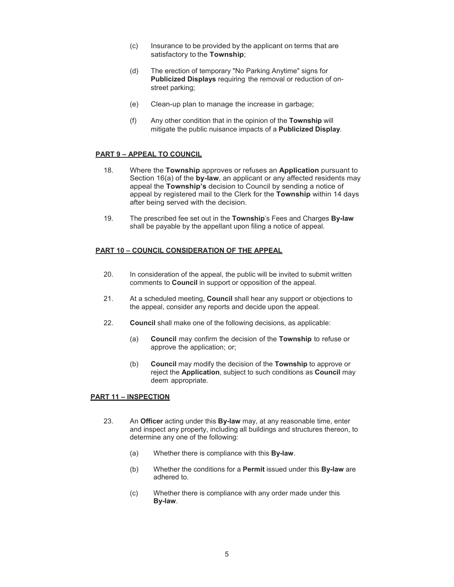- (c) Insurance to be provided by the applicant on terms that are satisfactory to the **Township**;
- (d) The erection of temporary "No Parking Anytime" signs for **Publicized Displays** requiring the removal or reduction of onstreet parking;
- (e) Clean-up plan to manage the increase in garbage;
- (f) Any other condition that in the opinion of the **Township** will mitigate the public nuisance impacts of a **Publicized Display**.

### **PART 9 – APPEAL TO COUNCIL**

- 18. Where the **Township** approves or refuses an **Application** pursuant to Section 16(a) of the **by-law**, an applicant or any affected residents may appeal the **Township's** decision to Council by sending a notice of appeal by registered mail to the Clerk for the **Township** within 14 days after being served with the decision.
- 19. The prescribed fee set out in the **Township**'s Fees and Charges **By-law** shall be payable by the appellant upon filing a notice of appeal.

#### **PART 10 – COUNCIL CONSIDERATION OF THE APPEAL**

- 20. In consideration of the appeal, the public will be invited to submit written comments to **Council** in support or opposition of the appeal.
- 21. At a scheduled meeting, **Council** shall hear any support or objections to the appeal, consider any reports and decide upon the appeal.
- 22. **Council** shall make one of the following decisions, as applicable:
	- (a) **Council** may confirm the decision of the **Township** to refuse or approve the application; or;
	- (b) **Council** may modify the decision of the **Township** to approve or reject the **Application**, subject to such conditions as **Council** may deem appropriate.

#### **PART 11 – INSPECTION**

- 23. An **Officer** acting under this **By-law** may, at any reasonable time, enter and inspect any property, including all buildings and structures thereon, to determine any one of the following:
	- (a) Whether there is compliance with this **By-law**.
	- (b) Whether the conditions for a **Permit** issued under this **By-law** are adhered to.
	- (c) Whether there is compliance with any order made under this **By-law**.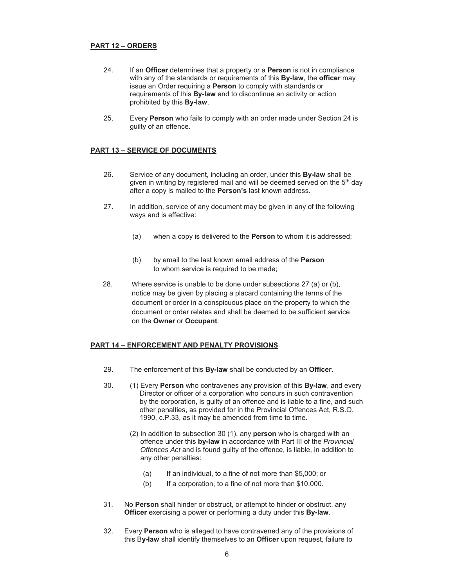## **PART 12 – ORDERS**

- 24. If an **Officer** determines that a property or a **Person** is not in compliance with any of the standards or requirements of this **By-law**, the **officer** may issue an Order requiring a **Person** to comply with standards or requirements of this **By-law** and to discontinue an activity or action prohibited by this **By-law**.
- 25. Every **Person** who fails to comply with an order made under Section 24 is guilty of an offence.

### **PART 13 – SERVICE OF DOCUMENTS**

- 26. Service of any document, including an order, under this **By-law** shall be given in writing by registered mail and will be deemed served on the  $5<sup>th</sup>$  day after a copy is mailed to the **Person's** last known address.
- 27. In addition, service of any document may be given in any of the following ways and is effective:
	- (a) when a copy is delivered to the **Person** to whom it is addressed;
	- (b) by email to the last known email address of the **Person** to whom service is required to be made;
- 28. Where service is unable to be done under subsections 27 (a) or (b), notice may be given by placing a placard containing the terms of the document or order in a conspicuous place on the property to which the document or order relates and shall be deemed to be sufficient service on the **Owner** or **Occupant**.

### **PART 14 – ENFORCEMENT AND PENALTY PROVISIONS**

- 29. The enforcement of this **By-law** shall be conducted by an **Officer**.
- 30. (1) Every **Person** who contravenes any provision of this **By-law**, and every Director or officer of a corporation who concurs in such contravention by the corporation, is guilty of an offence and is liable to a fine, and such other penalties, as provided for in the Provincial Offences Act, R.S.O. 1990, c.P.33, as it may be amended from time to time.
	- (2) In addition to subsection 30 (1), any **person** who is charged with an offence under this **by-law** in accordance with Part III of the *Provincial Offences Act* and is found guilty of the offence, is liable, in addition to any other penalties:
		- (a) If an individual, to a fine of not more than \$5,000; or
		- (b) If a corporation, to a fine of not more than \$10,000.
- 31. No **Person** shall hinder or obstruct, or attempt to hinder or obstruct, any **Officer** exercising a power or performing a duty under this **By-law**.
- 32. Every **Person** who is alleged to have contravened any of the provisions of this B**y-law** shall identify themselves to an **Officer** upon request, failure to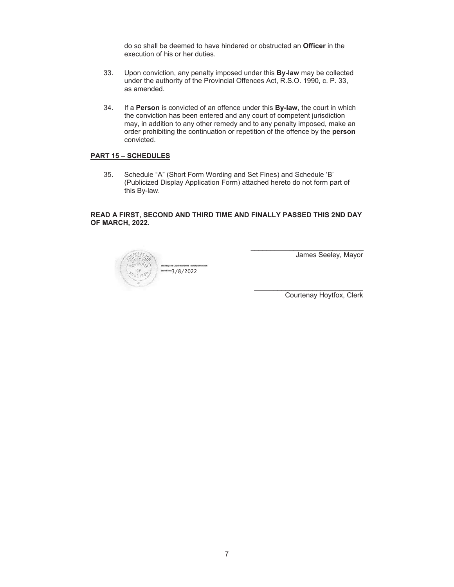do so shall be deemed to have hindered or obstructed an **Officer** in the execution of his or her duties.

- 33. Upon conviction, any penalty imposed under this **By-law** may be collected under the authority of the Provincial Offences Act, R.S.O. 1990, c. P. 33, as amended.
- 34. If a **Person** is convicted of an offence under this **By-law**, the court in which the conviction has been entered and any court of competent jurisdiction may, in addition to any other remedy and to any penalty imposed, make an order prohibiting the continuation or repetition of the offence by the **person** convicted.

# **PART 15 – SCHEDULES**

35. Schedule "A" (Short Form Wording and Set Fines) and Schedule 'B' (Publicized Display Application Form) attached hereto do not form part of this By-law.

#### **READ A FIRST, SECOND AND THIRD TIME AND FINALLY PASSED THIS 2ND DAY OF MARCH, 2022.**



James Seeley, Mayor

Courtenay Hoytfox, Clerk

\_\_\_\_\_\_\_\_\_\_\_\_\_\_\_\_\_\_\_\_\_\_\_\_\_\_\_\_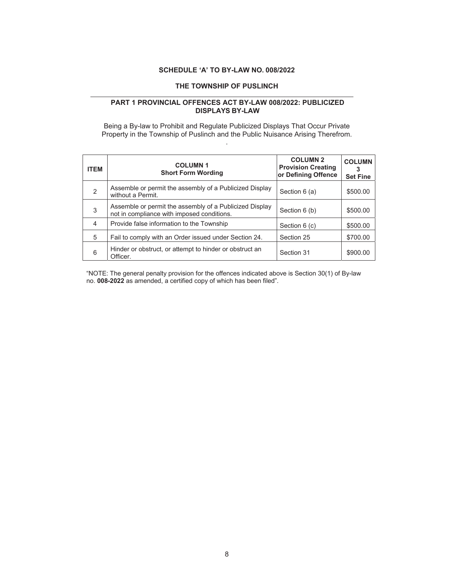# **SCHEDULE 'A' TO BY-LAW NO. 008/2022**

# **THE TOWNSHIP OF PUSLINCH**

### **PART 1 PROVINCIAL OFFENCES ACT BY-LAW 008/2022: PUBLICIZED DISPLAYS BY-LAW**

Being a By-law to Prohibit and Regulate Publicized Displays That Occur Private Property in the Township of Puslinch and the Public Nuisance Arising Therefrom. .

| <b>ITEM</b>    | <b>COLUMN1</b><br><b>Short Form Wording</b>                                                           | <b>COLUMN 2</b><br><b>Provision Creating</b><br>or Defining Offence | <b>COLUMN</b><br><b>Set Fine</b> |
|----------------|-------------------------------------------------------------------------------------------------------|---------------------------------------------------------------------|----------------------------------|
| $\overline{2}$ | Assemble or permit the assembly of a Publicized Display<br>without a Permit.                          | Section 6 (a)                                                       | \$500.00                         |
| 3              | Assemble or permit the assembly of a Publicized Display<br>not in compliance with imposed conditions. | Section 6 (b)                                                       | \$500.00                         |
| $\overline{4}$ | Provide false information to the Township                                                             | Section 6 (c)                                                       | \$500.00                         |
| 5              | Fail to comply with an Order issued under Section 24.                                                 | Section 25                                                          | \$700.00                         |
| 6              | Hinder or obstruct, or attempt to hinder or obstruct an<br>Officer.                                   | Section 31                                                          | \$900.00                         |

"NOTE: The general penalty provision for the offences indicated above is Section 30(1) of By-law no. **008-2022** as amended, a certified copy of which has been filed".